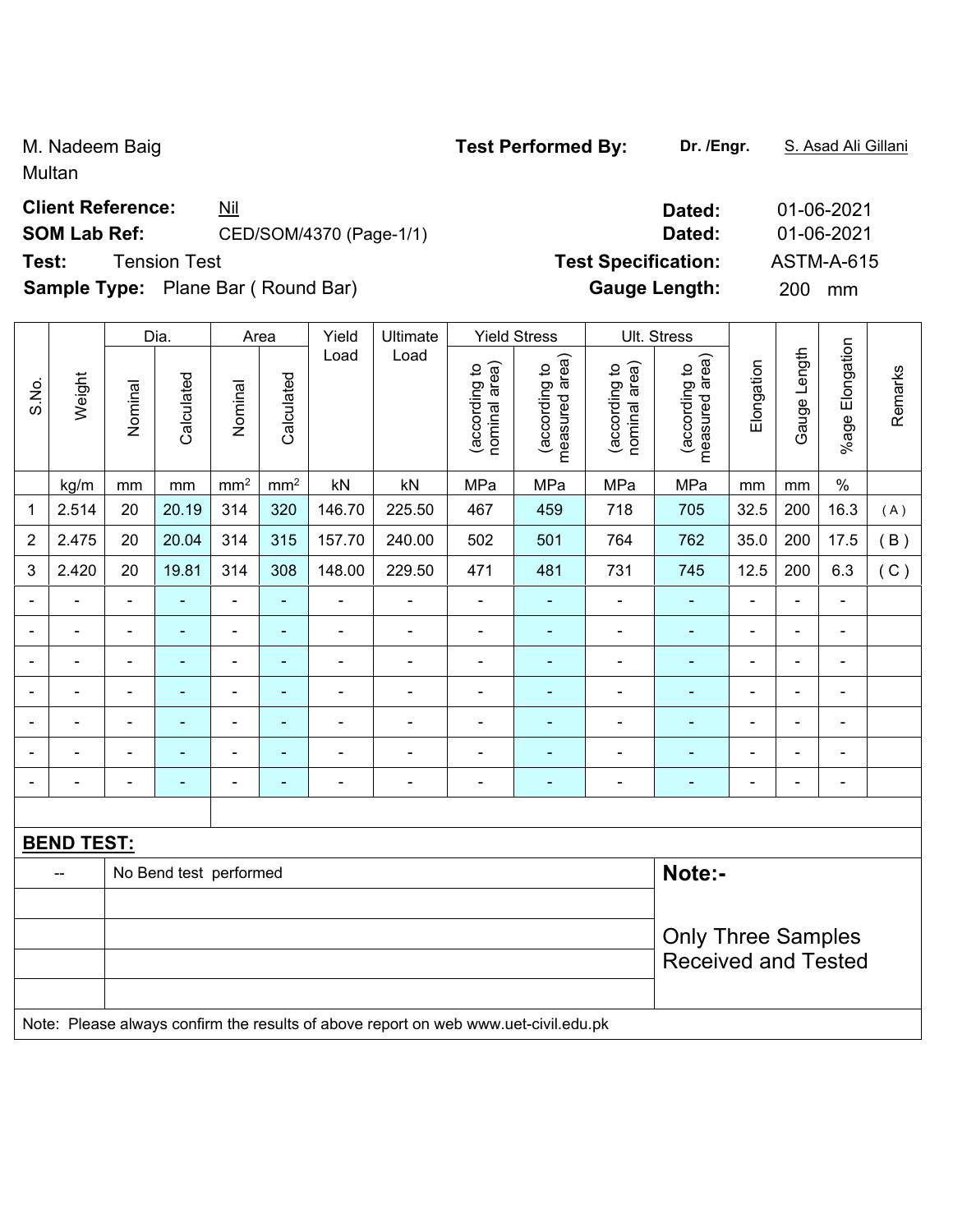Multan

### **Client Reference:** <u>Nil</u> 2011 2021

# **SOM Lab Ref:** CED/SOM/4370 (Page-1/1) **Dated:** 01-06-2021

**Sample Type:** Plane Bar ( Round Bar) **Gauge Length:** 200 mm

|                |                                                                                     |                           | Dia.                   |                 | Area                     | Yield          | Ultimate       |                                | <b>Yield Stress</b>             |                                | Ult. Stress                     |                |                |                 |         |
|----------------|-------------------------------------------------------------------------------------|---------------------------|------------------------|-----------------|--------------------------|----------------|----------------|--------------------------------|---------------------------------|--------------------------------|---------------------------------|----------------|----------------|-----------------|---------|
| S.No.          | Weight                                                                              | Nominal                   | Calculated             | Nominal         | Calculated               | Load           | Load           | nominal area)<br>(according to | measured area)<br>(according to | (according to<br>nominal area) | measured area)<br>(according to | Elongation     | Gauge Length   | %age Elongation | Remarks |
|                | kg/m                                                                                | mm                        | $\,mm$                 | mm <sup>2</sup> | mm <sup>2</sup>          | kN             | kN             | MPa                            | MPa                             | MPa                            | MPa                             | mm             | mm             | $\%$            |         |
| 1              | 2.514                                                                               | 20                        | 20.19                  | 314             | 320                      | 146.70         | 225.50         | 467                            | 459                             | 718                            | 705                             | 32.5           | 200            | 16.3            | (A)     |
| 2              | 2.475                                                                               | 20                        | 20.04                  | 314             | 315                      | 157.70         | 240.00         | 502                            | 501                             | 764                            | 762                             | 35.0           | 200            | 17.5            | B)      |
| 3              | 2.420                                                                               | 20                        | 19.81                  | 314             | 308                      | 148.00         | 229.50         | 471                            | 481                             | 731                            | 745                             | 12.5           | 200            | 6.3             | (C)     |
|                |                                                                                     | $\blacksquare$            | $\blacksquare$         | ä,              | $\blacksquare$           |                | $\blacksquare$ | $\blacksquare$                 | ÷                               | $\blacksquare$                 | $\blacksquare$                  | $\blacksquare$ | $\blacksquare$ | $\blacksquare$  |         |
|                |                                                                                     |                           |                        | $\blacksquare$  | ۰                        |                |                | $\blacksquare$                 | $\blacksquare$                  |                                | ٠                               |                |                | $\blacksquare$  |         |
|                |                                                                                     | $\blacksquare$            | $\overline{a}$         | $\overline{a}$  | $\overline{\phantom{a}}$ | $\blacksquare$ | $\blacksquare$ | $\blacksquare$                 | $\blacksquare$                  | $\blacksquare$                 | $\blacksquare$                  | $\blacksquare$ | L,             | $\blacksquare$  |         |
| $\blacksquare$ | ۳                                                                                   | $\blacksquare$            | ÷                      | $\blacksquare$  | ۰                        | ÷              | $\overline{a}$ | $\blacksquare$                 | ÷                               | $\blacksquare$                 | $\blacksquare$                  | $\blacksquare$ | ä,             | $\blacksquare$  |         |
|                |                                                                                     | $\blacksquare$            | ÷                      | ä,              | ٠                        | ÷              | $\blacksquare$ | $\blacksquare$                 | $\blacksquare$                  | $\blacksquare$                 | $\blacksquare$                  | $\blacksquare$ | ä,             | $\blacksquare$  |         |
|                | ۳                                                                                   | $\blacksquare$            | ÷                      | $\blacksquare$  | ٠                        | ä,             | $\blacksquare$ | $\blacksquare$                 | ä,                              | ä,                             | ٠                               | $\blacksquare$ | $\blacksquare$ | $\blacksquare$  |         |
|                | ÷                                                                                   | $\blacksquare$            | ÷                      | $\blacksquare$  | ä,                       | ä,             | $\blacksquare$ | $\blacksquare$                 | ÷                               | $\blacksquare$                 | $\blacksquare$                  | $\blacksquare$ | L,             | $\blacksquare$  |         |
|                |                                                                                     |                           |                        |                 |                          |                |                |                                |                                 |                                |                                 |                |                |                 |         |
|                | <b>BEND TEST:</b>                                                                   |                           |                        |                 |                          |                |                |                                |                                 |                                |                                 |                |                |                 |         |
|                | $-$                                                                                 |                           | No Bend test performed |                 |                          |                |                |                                |                                 |                                | Note:-                          |                |                |                 |         |
|                |                                                                                     |                           |                        |                 |                          |                |                |                                |                                 |                                |                                 |                |                |                 |         |
|                |                                                                                     | <b>Only Three Samples</b> |                        |                 |                          |                |                |                                |                                 |                                |                                 |                |                |                 |         |
|                |                                                                                     |                           |                        |                 |                          |                |                |                                |                                 |                                | <b>Received and Tested</b>      |                |                |                 |         |
|                |                                                                                     |                           |                        |                 |                          |                |                |                                |                                 |                                |                                 |                |                |                 |         |
|                | Note: Please always confirm the results of above report on web www.uet-civil.edu.pk |                           |                        |                 |                          |                |                |                                |                                 |                                |                                 |                |                |                 |         |

**Test:** Tension Test **Test Specification:** ASTM-A-615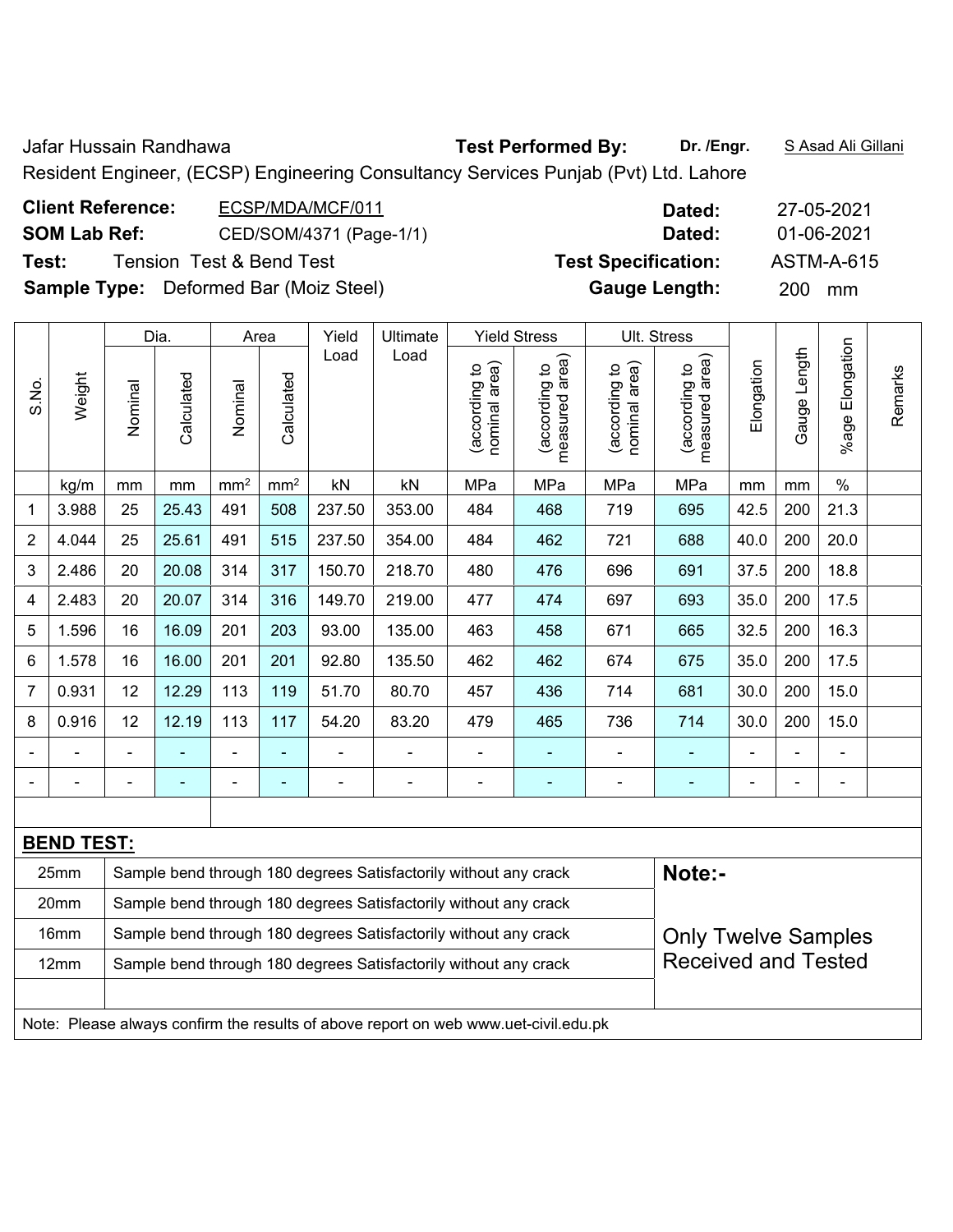Jafar Hussain Randhawa **Test Performed By: Dr. /Engr.** S Asad Ali Gillani Resident Engineer, (ECSP) Engineering Consultancy Services Punjab (Pvt) Ltd. Lahore

| <b>Client Reference:</b> | ECSP/MDA/MCF/011                              | Dated:                     | 27-05-2021 |
|--------------------------|-----------------------------------------------|----------------------------|------------|
| <b>SOM Lab Ref:</b>      | CED/SOM/4371 (Page-1/1)                       | Dated:                     | 01-06-2021 |
| Test:                    | <b>Tension Test &amp; Bend Test</b>           | <b>Test Specification:</b> | ASTM-A-615 |
|                          | <b>Sample Type:</b> Deformed Bar (Moiz Steel) | <b>Gauge Length:</b>       | 200 mm     |

|                |                   |         | Dia.                     |                 | Area            | Yield                        | Ultimate                                                         |                                | <b>Yield Stress</b>             |                                | Ult. Stress                     |                |                |                 |         |  |
|----------------|-------------------|---------|--------------------------|-----------------|-----------------|------------------------------|------------------------------------------------------------------|--------------------------------|---------------------------------|--------------------------------|---------------------------------|----------------|----------------|-----------------|---------|--|
| S.No.          | Weight            | Nominal | Calculated               | Nominal         | Calculated      | Load                         | Load                                                             | nominal area)<br>(according to | measured area)<br>(according to | nominal area)<br>(according to | measured area)<br>(according to | Elongation     | Gauge Length   | %age Elongation | Remarks |  |
|                | kg/m              | mm      | mm                       | mm <sup>2</sup> | mm <sup>2</sup> | kN                           | kN                                                               | MPa                            | MPa                             | MPa                            | MPa                             | mm             | mm             | $\%$            |         |  |
| 1              | 3.988             | 25      | 25.43                    | 491             | 508             | 237.50                       | 353.00                                                           | 484                            | 468                             | 719                            | 695                             | 42.5           | 200            | 21.3            |         |  |
| $\overline{2}$ | 4.044             | 25      | 25.61                    | 491             | 515             | 237.50                       | 354.00                                                           | 484                            | 462                             | 721                            | 688                             | 40.0           | 200            | 20.0            |         |  |
| 3              | 2.486             | 20      | 20.08                    | 314             | 317             | 150.70                       | 218.70                                                           | 480                            | 476                             | 696                            | 691                             | 37.5           | 200            | 18.8            |         |  |
| 4              | 2.483             | 20      | 20.07                    | 314             | 316             | 149.70                       | 219.00                                                           | 477                            | 474                             | 697                            | 693                             | 35.0           | 200            | 17.5            |         |  |
| 5              | 1.596             | 16      | 16.09                    | 201             | 203             | 93.00                        | 135.00                                                           | 463                            | 458                             | 671                            | 665                             | 32.5           | 200            | 16.3            |         |  |
| 6              | 1.578             | 16      | 16.00                    | 201             | 201             | 92.80                        | 135.50                                                           | 462                            | 462                             | 674                            | 675                             | 35.0           | 200            | 17.5            |         |  |
| $\overline{7}$ | 0.931             | 12      | 12.29                    | 113             | 119             | 51.70                        | 80.70                                                            | 457                            | 436                             | 714                            | 681                             | 30.0           | 200            | 15.0            |         |  |
| 8              | 0.916             | 12      | 12.19                    | 113             | 117             | 54.20                        | 83.20                                                            | 479                            | 465                             | 736                            | 714                             | 30.0           | 200            | 15.0            |         |  |
|                |                   |         |                          |                 |                 |                              |                                                                  | $\blacksquare$                 |                                 |                                |                                 |                |                | $\blacksquare$  |         |  |
|                |                   |         | $\overline{\phantom{0}}$ |                 | ٠               | $\qquad \qquad \blacksquare$ | $\blacksquare$                                                   | $\blacksquare$                 |                                 | -                              |                                 | $\blacksquare$ | $\blacksquare$ | $\blacksquare$  |         |  |
|                |                   |         |                          |                 |                 |                              |                                                                  |                                |                                 |                                |                                 |                |                |                 |         |  |
|                | <b>BEND TEST:</b> |         |                          |                 |                 |                              |                                                                  |                                |                                 |                                |                                 |                |                |                 |         |  |
|                | 25mm              |         |                          |                 |                 |                              | Sample bend through 180 degrees Satisfactorily without any crack |                                |                                 |                                | Note:-                          |                |                |                 |         |  |
|                | 20mm              |         |                          |                 |                 |                              | Sample bend through 180 degrees Satisfactorily without any crack |                                |                                 |                                |                                 |                |                |                 |         |  |
|                | 16mm              |         |                          |                 |                 |                              | Sample bend through 180 degrees Satisfactorily without any crack |                                |                                 |                                | <b>Only Twelve Samples</b>      |                |                |                 |         |  |

Note: Please always confirm the results of above report on web www.uet-civil.edu.pk

12mm | Sample bend through 180 degrees Satisfactorily without any crack

Received and Tested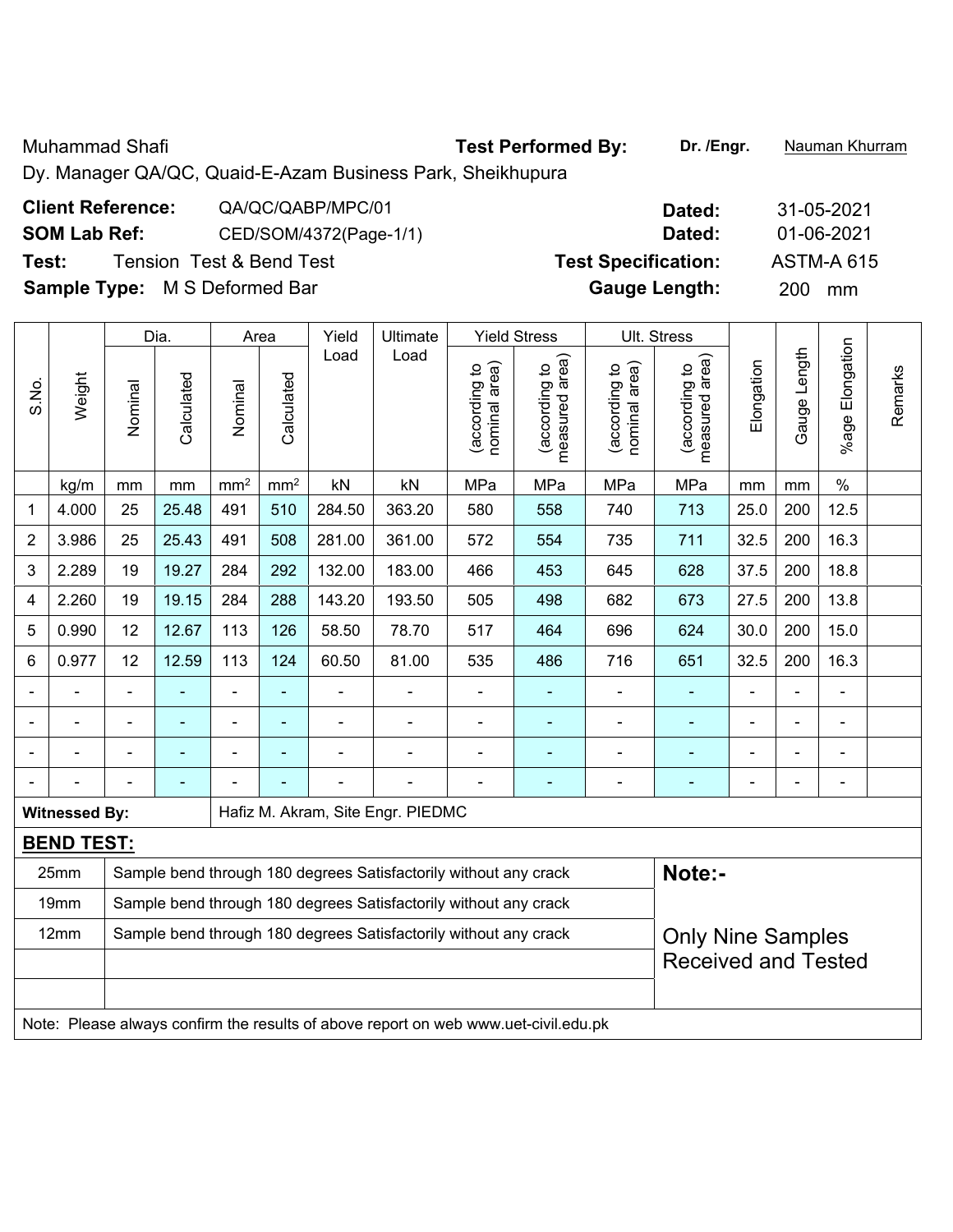Muhammad Shafi **Test Performed By:** Dr. /Engr. **Nauman Khurram** 

Dy. Manager QA/QC, Quaid-E-Azam Business Park, Sheikhupura

| <b>Client Reference:</b>             | QA/QC/QABP/MPC/01        | Dated:                     | 31-05-2021        |
|--------------------------------------|--------------------------|----------------------------|-------------------|
| <b>SOM Lab Ref:</b>                  | CED/SOM/4372(Page-1/1)   | Dated:                     | 01-06-2021        |
| Test:                                | Tension Test & Bend Test | <b>Test Specification:</b> | <b>ASTM-A 615</b> |
| <b>Sample Type:</b> M S Deformed Bar |                          | <b>Gauge Length:</b>       | 200<br>mm         |

|                |                                                                                     |                                                                  | Dia.       | Area            |                 | Yield          | Ultimate                                                         |                                | <b>Yield Stress</b>             |                                | Ult. Stress                     |                |                |                          |         |
|----------------|-------------------------------------------------------------------------------------|------------------------------------------------------------------|------------|-----------------|-----------------|----------------|------------------------------------------------------------------|--------------------------------|---------------------------------|--------------------------------|---------------------------------|----------------|----------------|--------------------------|---------|
| S.No.          | Weight                                                                              | Nominal                                                          | Calculated | Nominal         | Calculated      | Load           | Load                                                             | nominal area)<br>(according to | measured area)<br>(according to | nominal area)<br>(according to | (according to<br>measured area) | Elongation     | Gauge Length   | %age Elongation          | Remarks |
|                | kg/m                                                                                | mm                                                               | mm         | mm <sup>2</sup> | mm <sup>2</sup> | kN             | kN                                                               | MPa                            | MPa                             | MPa                            | MPa                             | mm             | mm             | $\%$                     |         |
| 1              | 4.000                                                                               | 25                                                               | 25.48      | 491             | 510             | 284.50         | 363.20                                                           | 580                            | 558                             | 740                            | 713                             | 25.0           | 200            | 12.5                     |         |
| $\overline{2}$ | 3.986                                                                               | 25                                                               | 25.43      | 491             | 508             | 281.00         | 361.00                                                           | 572                            | 554                             | 735                            | 711                             | 32.5           | 200            | 16.3                     |         |
| 3              | 2.289                                                                               | 19                                                               | 19.27      | 284             | 292             | 132.00         | 183.00                                                           | 466                            | 453                             | 645                            | 628                             | 37.5           | 200            | 18.8                     |         |
| 4              | 2.260                                                                               | 19                                                               | 19.15      | 284             | 288             | 143.20         | 193.50                                                           | 505                            | 498                             | 682                            | 673                             | 27.5           | 200            | 13.8                     |         |
| 5              | 0.990                                                                               | 12                                                               | 12.67      | 113             | 126             | 58.50          | 78.70                                                            | 517                            | 464                             | 696                            | 624                             | 30.0           | 200            | 15.0                     |         |
| 6              | 0.977                                                                               | 12                                                               | 12.59      | 113             | 124             | 60.50          | 81.00                                                            | 535                            | 486                             | 716                            | 651                             | 32.5           | 200            | 16.3                     |         |
|                |                                                                                     | $\blacksquare$                                                   | ä,         | $\blacksquare$  | $\blacksquare$  | ä,             | $\blacksquare$                                                   | $\blacksquare$                 | $\blacksquare$                  |                                | $\blacksquare$                  | $\blacksquare$ | ä,             | $\overline{\phantom{a}}$ |         |
|                |                                                                                     | ä,                                                               | ä,         | $\blacksquare$  | $\blacksquare$  | ÷,             | $\blacksquare$                                                   | $\blacksquare$                 | $\blacksquare$                  | $\qquad \qquad \blacksquare$   | ä,                              | $\blacksquare$ | ÷,             | ÷,                       |         |
|                | ÷                                                                                   | $\blacksquare$                                                   | ä,         | ÷,              | $\blacksquare$  | $\blacksquare$ | $\blacksquare$                                                   | $\blacksquare$                 | $\blacksquare$                  | ÷                              | ۰                               | $\blacksquare$ | $\blacksquare$ | $\blacksquare$           |         |
|                |                                                                                     |                                                                  |            |                 |                 |                |                                                                  |                                | ÷                               |                                |                                 |                | Ē,             | $\blacksquare$           |         |
|                | <b>Witnessed By:</b>                                                                |                                                                  |            |                 |                 |                | Hafiz M. Akram, Site Engr. PIEDMC                                |                                |                                 |                                |                                 |                |                |                          |         |
|                | <b>BEND TEST:</b>                                                                   |                                                                  |            |                 |                 |                |                                                                  |                                |                                 |                                |                                 |                |                |                          |         |
|                | 25mm                                                                                |                                                                  |            |                 |                 |                | Sample bend through 180 degrees Satisfactorily without any crack |                                |                                 |                                | Note:-                          |                |                |                          |         |
|                | 19mm                                                                                | Sample bend through 180 degrees Satisfactorily without any crack |            |                 |                 |                |                                                                  |                                |                                 |                                |                                 |                |                |                          |         |
|                | 12mm                                                                                |                                                                  |            |                 |                 |                | Sample bend through 180 degrees Satisfactorily without any crack |                                |                                 |                                | <b>Only Nine Samples</b>        |                |                |                          |         |
|                |                                                                                     |                                                                  |            |                 |                 |                |                                                                  |                                |                                 |                                | <b>Received and Tested</b>      |                |                |                          |         |
|                |                                                                                     |                                                                  |            |                 |                 |                |                                                                  |                                |                                 |                                |                                 |                |                |                          |         |
|                | Note: Please always confirm the results of above report on web www.uet-civil.edu.pk |                                                                  |            |                 |                 |                |                                                                  |                                |                                 |                                |                                 |                |                |                          |         |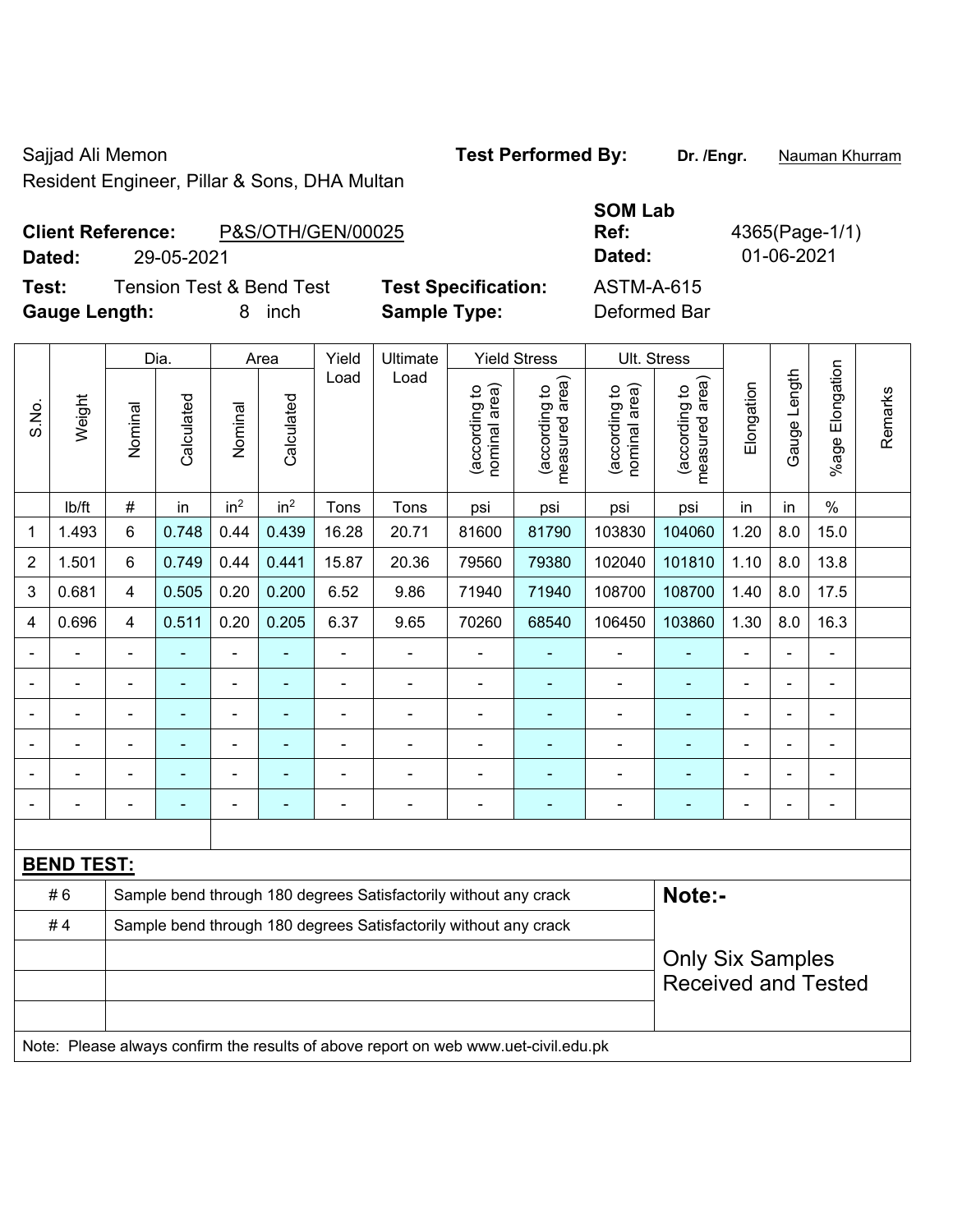Resident Engineer, Pillar & Sons, DHA Multan

Sajjad Ali Memon **Test Performed By:** Dr. /Engr. **Nauman Khurram** 

**Client Reference:** P&S/C **Dated:** 29-05-2021 **Dated:** 01-06-2021

**Gauge Length:** 8 inch **Sample Type:** Deformed Bar

|                      | <b>Client Reference:</b> | P&S/OTH/GEN/00025                   |                            | Ref:              |
|----------------------|--------------------------|-------------------------------------|----------------------------|-------------------|
| Dated:               | 29-05-2021               |                                     |                            | Dated:            |
| Test:                |                          | <b>Tension Test &amp; Bend Test</b> | <b>Test Specification:</b> | <b>ASTM-A-615</b> |
| <b>Gauge Length:</b> |                          | inch                                | <b>Sample Type:</b>        | Deformed Ba       |

|       |                                                                                     | Dia.<br>Yield<br>Ultimate<br><b>Yield Stress</b><br>Area |                |                 |                 |       |                                                                  |                                |                                 | Ult. Stress                    |                                 |                |              |                       |         |
|-------|-------------------------------------------------------------------------------------|----------------------------------------------------------|----------------|-----------------|-----------------|-------|------------------------------------------------------------------|--------------------------------|---------------------------------|--------------------------------|---------------------------------|----------------|--------------|-----------------------|---------|
| S.No. | Weight                                                                              | Nominal                                                  | Calculated     | Nominal         | Calculated      | Load  | Load                                                             | nominal area)<br>(according to | (according to<br>measured area) | nominal area)<br>(according to | (according to<br>measured area) | Elongation     | Gauge Length | Elongation<br>$%$ age | Remarks |
|       | lb/ft                                                                               | $\#$                                                     | in             | in <sup>2</sup> | in <sup>2</sup> | Tons  | Tons                                                             | psi                            | psi                             | psi                            | psi                             | in             | in           | $\%$                  |         |
| 1     | 1.493                                                                               | 6                                                        | 0.748          | 0.44            | 0.439           | 16.28 | 20.71                                                            | 81600                          | 81790                           | 103830                         | 104060                          | 1.20           | 8.0          | 15.0                  |         |
| 2     | 1.501                                                                               | 6                                                        | 0.749          | 0.44            | 0.441           | 15.87 | 20.36                                                            | 79560                          | 79380                           | 102040                         | 101810                          | 1.10           | 8.0          | 13.8                  |         |
| 3     | 0.681                                                                               | 4                                                        | 0.505          | 0.20            | 0.200           | 6.52  | 9.86                                                             | 71940                          | 71940                           | 108700                         | 108700                          | 1.40           | 8.0          | 17.5                  |         |
| 4     | 0.696                                                                               | 4                                                        | 0.511          | 0.20            | 0.205           | 6.37  | 9.65                                                             | 70260                          | 68540                           | 106450                         | 103860                          | 1.30           | 8.0          | 16.3                  |         |
|       |                                                                                     | $\blacksquare$                                           | ä,             | $\blacksquare$  | ٠               | L,    | ÷,                                                               | ä,                             | $\overline{a}$                  | $\blacksquare$                 | $\blacksquare$                  | $\blacksquare$ | ÷.           | ÷                     |         |
|       | $\blacksquare$                                                                      | $\blacksquare$                                           | ä,             | $\blacksquare$  | $\blacksquare$  | ä,    | ÷,                                                               | ä,                             | $\blacksquare$                  | $\blacksquare$                 | $\blacksquare$                  | ä,             | ÷            | $\blacksquare$        |         |
|       |                                                                                     | ٠                                                        | $\blacksquare$ | $\blacksquare$  | ٠               | -     | $\blacksquare$                                                   | ä,                             | ÷                               | $\blacksquare$                 | $\blacksquare$                  | Ē,             |              | $\blacksquare$        |         |
|       |                                                                                     |                                                          |                |                 |                 |       |                                                                  |                                |                                 |                                |                                 |                |              |                       |         |
|       |                                                                                     |                                                          |                | ۰               |                 |       | $\blacksquare$                                                   |                                |                                 |                                |                                 |                |              |                       |         |
|       |                                                                                     |                                                          |                | $\overline{a}$  |                 |       | $\blacksquare$                                                   | ÷                              | ٠                               | $\blacksquare$                 | $\overline{a}$                  | Ē,             |              | ÷                     |         |
|       |                                                                                     |                                                          |                |                 |                 |       |                                                                  |                                |                                 |                                |                                 |                |              |                       |         |
|       | <b>BEND TEST:</b>                                                                   |                                                          |                |                 |                 |       |                                                                  |                                |                                 |                                |                                 |                |              |                       |         |
|       | #6                                                                                  |                                                          |                |                 |                 |       | Sample bend through 180 degrees Satisfactorily without any crack |                                |                                 |                                | Note:-                          |                |              |                       |         |
|       | #4                                                                                  |                                                          |                |                 |                 |       | Sample bend through 180 degrees Satisfactorily without any crack |                                |                                 |                                |                                 |                |              |                       |         |
|       |                                                                                     | <b>Only Six Samples</b>                                  |                |                 |                 |       |                                                                  |                                |                                 |                                |                                 |                |              |                       |         |
|       |                                                                                     |                                                          |                |                 |                 |       |                                                                  |                                |                                 |                                | <b>Received and Tested</b>      |                |              |                       |         |
|       |                                                                                     |                                                          |                |                 |                 |       |                                                                  |                                |                                 |                                |                                 |                |              |                       |         |
|       | Note: Please always confirm the results of above report on web www.uet-civil.edu.pk |                                                          |                |                 |                 |       |                                                                  |                                |                                 |                                |                                 |                |              |                       |         |

**Ref:** 4365(Page-1/1)

**SOM Lab**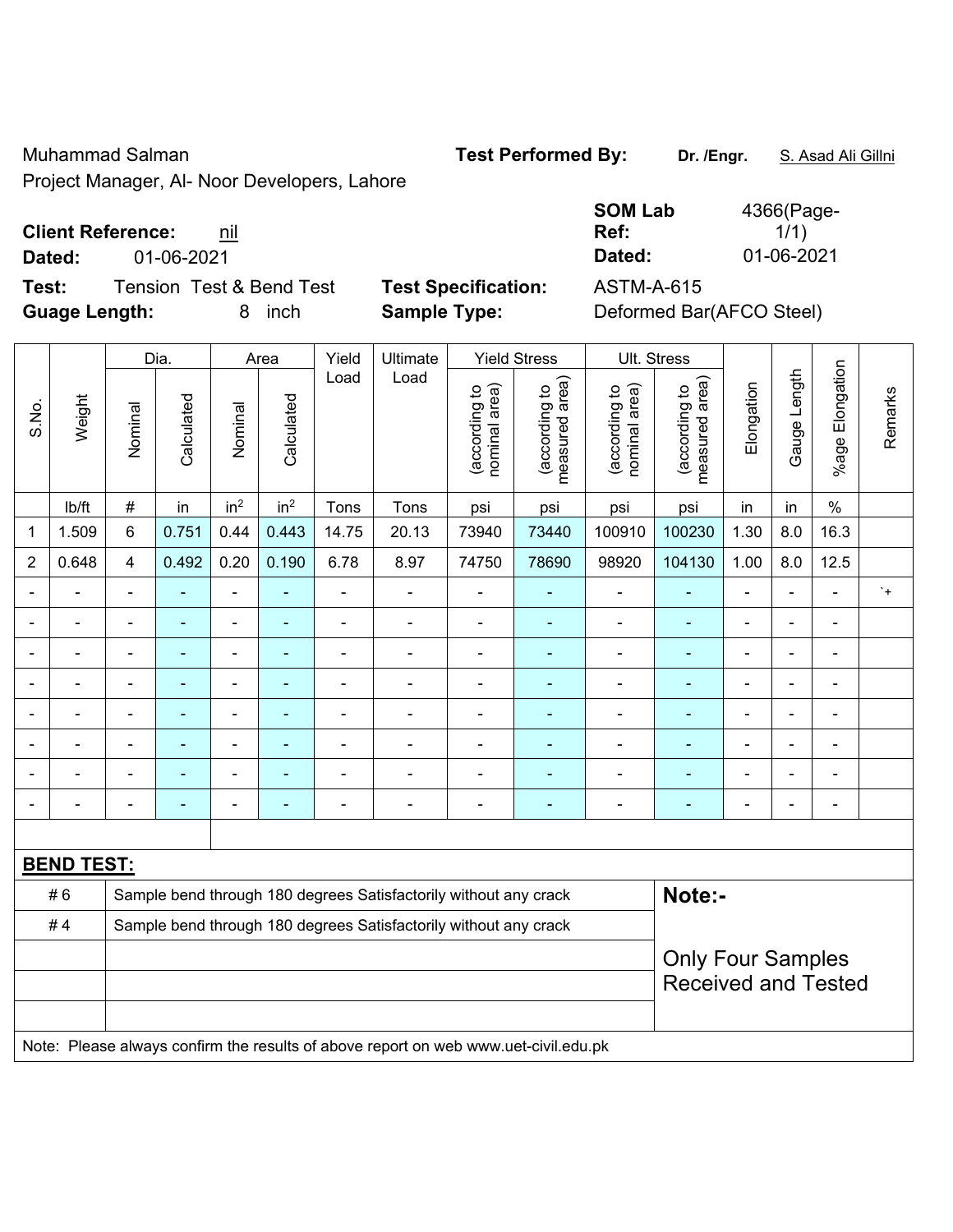Muhammad Salman **Test Performed By:** Dr. /Engr. **S. Asad Ali Gillni** 

Project Manager, Al- Noor Developers, Lahore

#### **Client Reference: nil**

**Dated:** 01-06-2021 **Dated:** 01-06-2021

**Test:** Tension Test & Bend Test **Test Specification:** ASTM-A-615 **Guage Length:** 8 inch **Sample Type:** Deformed Bar(AFCO Steel)

| 4366(Page- |
|------------|
| 1/1)       |
| 01-06-2021 |
|            |

| Weight<br>lb/ft | Nominal        | Calculated                | Nominal                      | Calculated      | Load                         | Load           |                                |                                 |                                                                                                                                      |                                                                                     |                |                |                          |                                                        |
|-----------------|----------------|---------------------------|------------------------------|-----------------|------------------------------|----------------|--------------------------------|---------------------------------|--------------------------------------------------------------------------------------------------------------------------------------|-------------------------------------------------------------------------------------|----------------|----------------|--------------------------|--------------------------------------------------------|
|                 |                |                           |                              |                 |                              |                | nominal area)<br>(according to | (according to<br>measured area) | (according to<br>nominal area)                                                                                                       | (according to<br>measured area)                                                     | Elongation     | Gauge Length   | %age Elongation          | Remarks                                                |
|                 |                | in                        | in <sup>2</sup>              | in <sup>2</sup> | Tons                         | Tons           | psi                            | psi                             | psi                                                                                                                                  | psi                                                                                 | in             | in             | $\%$                     |                                                        |
|                 | $6\phantom{a}$ | 0.751                     | 0.44                         | 0.443           | 14.75                        | 20.13          | 73940                          | 73440                           | 100910                                                                                                                               | 100230                                                                              | 1.30           | 8.0            | 16.3                     |                                                        |
| 0.648           | $\overline{4}$ | 0.492                     | 0.20                         | 0.190           | 6.78                         | 8.97           | 74750                          | 78690                           | 98920                                                                                                                                | 104130                                                                              | 1.00           | 8.0            | 12.5                     |                                                        |
| ä,              | $\blacksquare$ | ٠                         | ÷,                           | ٠               | $\blacksquare$               | ä,             | $\blacksquare$                 |                                 | $\overline{a}$                                                                                                                       | $\blacksquare$                                                                      | $\blacksquare$ |                | $\blacksquare$           | $\cdot$ +                                              |
| $\blacksquare$  | $\blacksquare$ | ÷,                        | ÷,                           | $\blacksquare$  | $\blacksquare$               | ÷,             | $\blacksquare$                 | $\blacksquare$                  | $\blacksquare$                                                                                                                       | $\blacksquare$                                                                      | $\blacksquare$ | $\blacksquare$ | $\blacksquare$           |                                                        |
| ä,              | ä,             | ٠                         | $\qquad \qquad \blacksquare$ | ۰               | $\blacksquare$               | ä,             | $\blacksquare$                 | $\blacksquare$                  | $\blacksquare$                                                                                                                       | ÷,                                                                                  | $\blacksquare$ | L.             | $\blacksquare$           |                                                        |
| ä,              | $\blacksquare$ | $\blacksquare$            | ÷,                           | ۰               | $\blacksquare$               | $\blacksquare$ | Ē,                             | ٠                               | $\overline{a}$                                                                                                                       | $\blacksquare$                                                                      | $\blacksquare$ |                | $\blacksquare$           |                                                        |
|                 |                | $\blacksquare$            | ä,                           | $\blacksquare$  | $\blacksquare$               | $\overline{a}$ | ä,                             | $\blacksquare$                  | $\blacksquare$                                                                                                                       | $\blacksquare$                                                                      | $\blacksquare$ |                | $\overline{a}$           |                                                        |
|                 |                | -                         | $\blacksquare$               |                 | $\blacksquare$               |                |                                |                                 | $\blacksquare$                                                                                                                       |                                                                                     |                |                | $\blacksquare$           |                                                        |
|                 |                | $\blacksquare$            | ۰                            |                 |                              |                |                                |                                 | $\overline{a}$                                                                                                                       | ÷                                                                                   |                |                | $\overline{\phantom{a}}$ |                                                        |
| -               | $\blacksquare$ | ۰                         | ۰                            | ۰               | $\qquad \qquad \blacksquare$ | $\blacksquare$ | $\blacksquare$                 | $\blacksquare$                  | $\blacksquare$                                                                                                                       | $\overline{\phantom{0}}$                                                            | $\blacksquare$ | $\blacksquare$ | $\overline{\phantom{a}}$ |                                                        |
|                 |                |                           |                              |                 |                              |                |                                |                                 |                                                                                                                                      |                                                                                     |                |                |                          |                                                        |
|                 |                |                           |                              |                 |                              |                |                                |                                 |                                                                                                                                      |                                                                                     |                |                |                          |                                                        |
| #6              |                |                           |                              |                 |                              |                |                                |                                 |                                                                                                                                      |                                                                                     |                |                |                          |                                                        |
| #4              |                |                           |                              |                 |                              |                |                                |                                 |                                                                                                                                      |                                                                                     |                |                |                          |                                                        |
|                 |                |                           |                              |                 |                              |                |                                |                                 |                                                                                                                                      |                                                                                     |                |                |                          |                                                        |
|                 | 1.509          | $\#$<br><b>BEND TEST:</b> |                              |                 |                              |                |                                |                                 | Sample bend through 180 degrees Satisfactorily without any crack<br>Sample bend through 180 degrees Satisfactorily without any crack | Note: Please always confirm the results of above report on web www.uet-civil.edu.pk |                | Note:-         |                          | <b>Only Four Samples</b><br><b>Received and Tested</b> |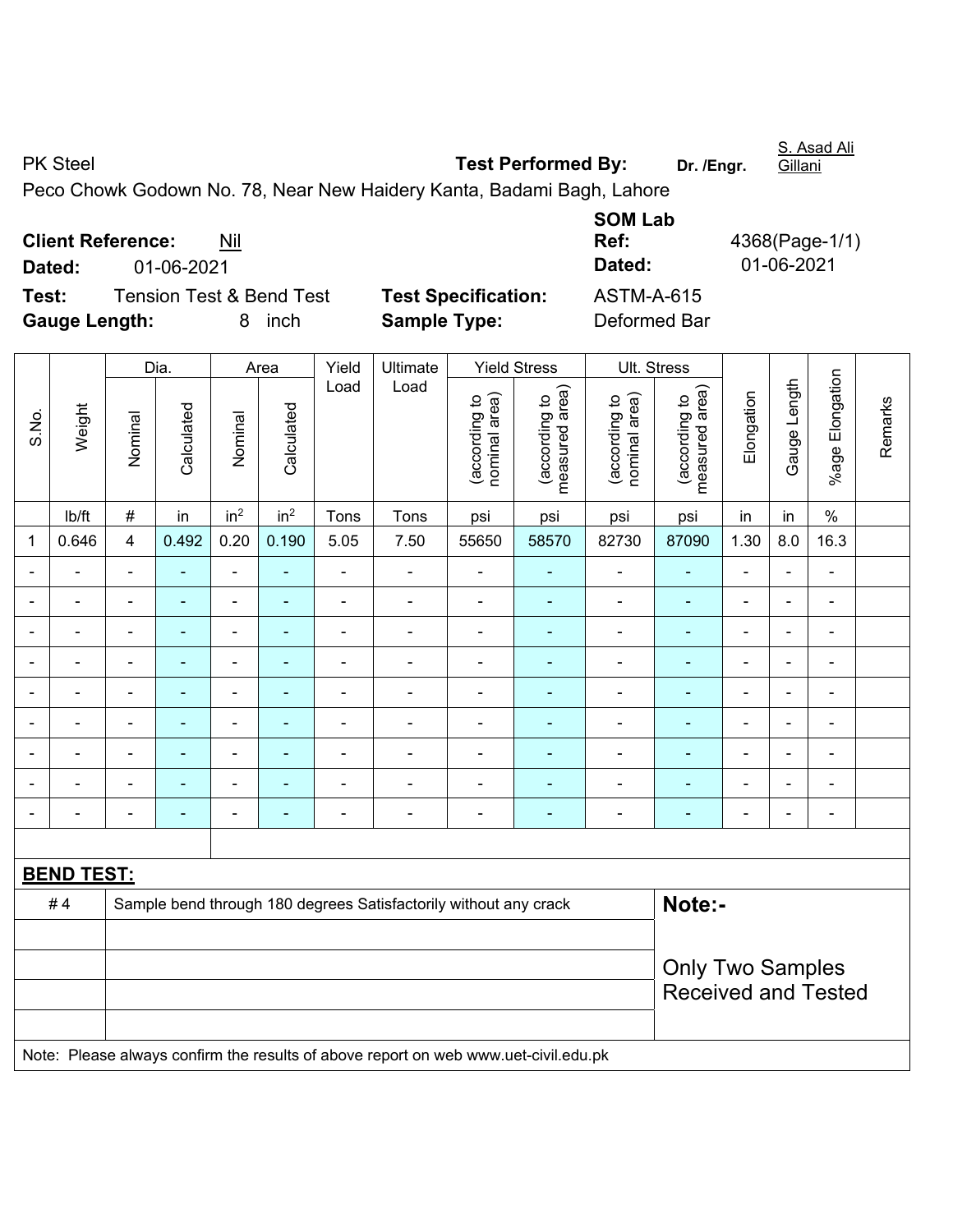| <b>PK Steel</b>          |     | <b>Test Performed By:</b>                                             | Dr. /Enar. | Gillani       |
|--------------------------|-----|-----------------------------------------------------------------------|------------|---------------|
|                          |     | Peco Chowk Godown No. 78, Near New Haidery Kanta, Badami Bagh, Lahore |            |               |
|                          |     | <b>SOM Lab</b>                                                        |            |               |
| <b>Client Reference:</b> | Nil | Ref:                                                                  |            | 4368(Page-1/1 |

**Client Reference:** Nil **Dated:** 01-06-2021 **Dated:** 01-06-2021 **Test:** Tension Test & Bend Test **Test Specification:** ASTM-A-615

**Gauge Length:** 8 inch **Sample Type:** Deformed Bar

|                |                                                                                     |                          | Dia.                     |                 | Area            | Yield          | Ultimate                                                         |                                | <b>Yield Stress</b>             |                                | Ult. Stress                     |                |                |                 |         |
|----------------|-------------------------------------------------------------------------------------|--------------------------|--------------------------|-----------------|-----------------|----------------|------------------------------------------------------------------|--------------------------------|---------------------------------|--------------------------------|---------------------------------|----------------|----------------|-----------------|---------|
| S.No.          | Weight                                                                              | Nominal                  | Calculated               | Nominal         | Calculated      | Load           | Load                                                             | (according to<br>nominal area) | (according to<br>measured area) | nominal area)<br>(according to | (according to<br>measured area) | Elongation     | Gauge Length   | %age Elongation | Remarks |
|                | Ib/ft                                                                               | $\#$                     | in                       | in <sup>2</sup> | in <sup>2</sup> | Tons           | Tons                                                             | psi                            | psi                             | psi                            | psi                             | in             | in             | $\%$            |         |
| 1              | 0.646                                                                               | 4                        | 0.492                    | 0.20            | 0.190           | 5.05           | 7.50                                                             | 55650                          | 58570                           | 82730                          | 87090                           | 1.30           | 8.0            | 16.3            |         |
| $\blacksquare$ | ä,                                                                                  | $\blacksquare$           | $\blacksquare$           | $\blacksquare$  | $\blacksquare$  | $\overline{a}$ | $\blacksquare$                                                   | $\frac{1}{2}$                  | ÷,                              | $\blacksquare$                 | $\blacksquare$                  | $\blacksquare$ | $\blacksquare$ | $\blacksquare$  |         |
| $\blacksquare$ | ÷                                                                                   | $\blacksquare$           | $\blacksquare$           | $\blacksquare$  | $\blacksquare$  | $\blacksquare$ | $\blacksquare$                                                   | $\blacksquare$                 | ä,                              | $\blacksquare$                 | $\blacksquare$                  | $\blacksquare$ | $\blacksquare$ | $\blacksquare$  |         |
|                | ä,                                                                                  | $\blacksquare$           | $\blacksquare$           | $\blacksquare$  | ۰               | $\blacksquare$ | $\blacksquare$                                                   | $\blacksquare$                 | ÷,                              | ÷,                             | $\blacksquare$                  | $\blacksquare$ |                | $\blacksquare$  |         |
|                | $\blacksquare$                                                                      | $\blacksquare$           | $\blacksquare$           | $\frac{1}{2}$   | ٠               | $\blacksquare$ | $\blacksquare$                                                   | ä,                             | $\blacksquare$                  | $\blacksquare$                 | $\blacksquare$                  | $\blacksquare$ | $\blacksquare$ | $\blacksquare$  |         |
|                |                                                                                     | $\overline{\phantom{a}}$ | $\overline{\phantom{0}}$ | $\blacksquare$  |                 | $\blacksquare$ | $\overline{\phantom{0}}$                                         | $\blacksquare$                 |                                 | $\overline{\phantom{0}}$       |                                 | $\blacksquare$ |                | $\blacksquare$  |         |
|                |                                                                                     | Ē,                       |                          | $\blacksquare$  |                 | $\blacksquare$ | $\blacksquare$                                                   | $\blacksquare$                 |                                 | $\blacksquare$                 |                                 | $\blacksquare$ |                | ÷               |         |
| $\blacksquare$ |                                                                                     | $\blacksquare$           | $\blacksquare$           | $\blacksquare$  | $\blacksquare$  | $\blacksquare$ | $\blacksquare$                                                   | $\blacksquare$                 | $\blacksquare$                  | $\overline{\phantom{a}}$       | $\blacksquare$                  | $\blacksquare$ |                | $\blacksquare$  |         |
|                |                                                                                     | $\blacksquare$           | $\blacksquare$           | $\blacksquare$  | ۰               | $\blacksquare$ | $\blacksquare$                                                   | $\overline{a}$                 | $\overline{\phantom{0}}$        | $\overline{a}$                 | ٠                               | $\blacksquare$ |                | $\blacksquare$  |         |
| $\blacksquare$ | $\blacksquare$                                                                      | $\blacksquare$           | $\blacksquare$           | ÷,              | ۰               | $\blacksquare$ | $\blacksquare$                                                   | $\blacksquare$                 | ÷                               | $\overline{\phantom{a}}$       | $\blacksquare$                  | $\blacksquare$ |                | $\blacksquare$  |         |
|                |                                                                                     |                          |                          |                 |                 |                |                                                                  |                                |                                 |                                |                                 |                |                |                 |         |
|                | <b>BEND TEST:</b>                                                                   |                          |                          |                 |                 |                |                                                                  |                                |                                 |                                |                                 |                |                |                 |         |
|                | #4                                                                                  |                          |                          |                 |                 |                | Sample bend through 180 degrees Satisfactorily without any crack |                                |                                 |                                | Note:-                          |                |                |                 |         |
|                |                                                                                     |                          |                          |                 |                 |                |                                                                  |                                |                                 |                                |                                 |                |                |                 |         |
|                |                                                                                     |                          |                          |                 |                 |                |                                                                  |                                |                                 |                                | <b>Only Two Samples</b>         |                |                |                 |         |
|                |                                                                                     |                          |                          |                 |                 |                |                                                                  |                                |                                 |                                | <b>Received and Tested</b>      |                |                |                 |         |
|                |                                                                                     |                          |                          |                 |                 |                |                                                                  |                                |                                 |                                |                                 |                |                |                 |         |
|                | Note: Please always confirm the results of above report on web www.uet-civil.edu.pk |                          |                          |                 |                 |                |                                                                  |                                |                                 |                                |                                 |                |                |                 |         |

S. Asad Ali

**Ref:** 4368(Page-1/1)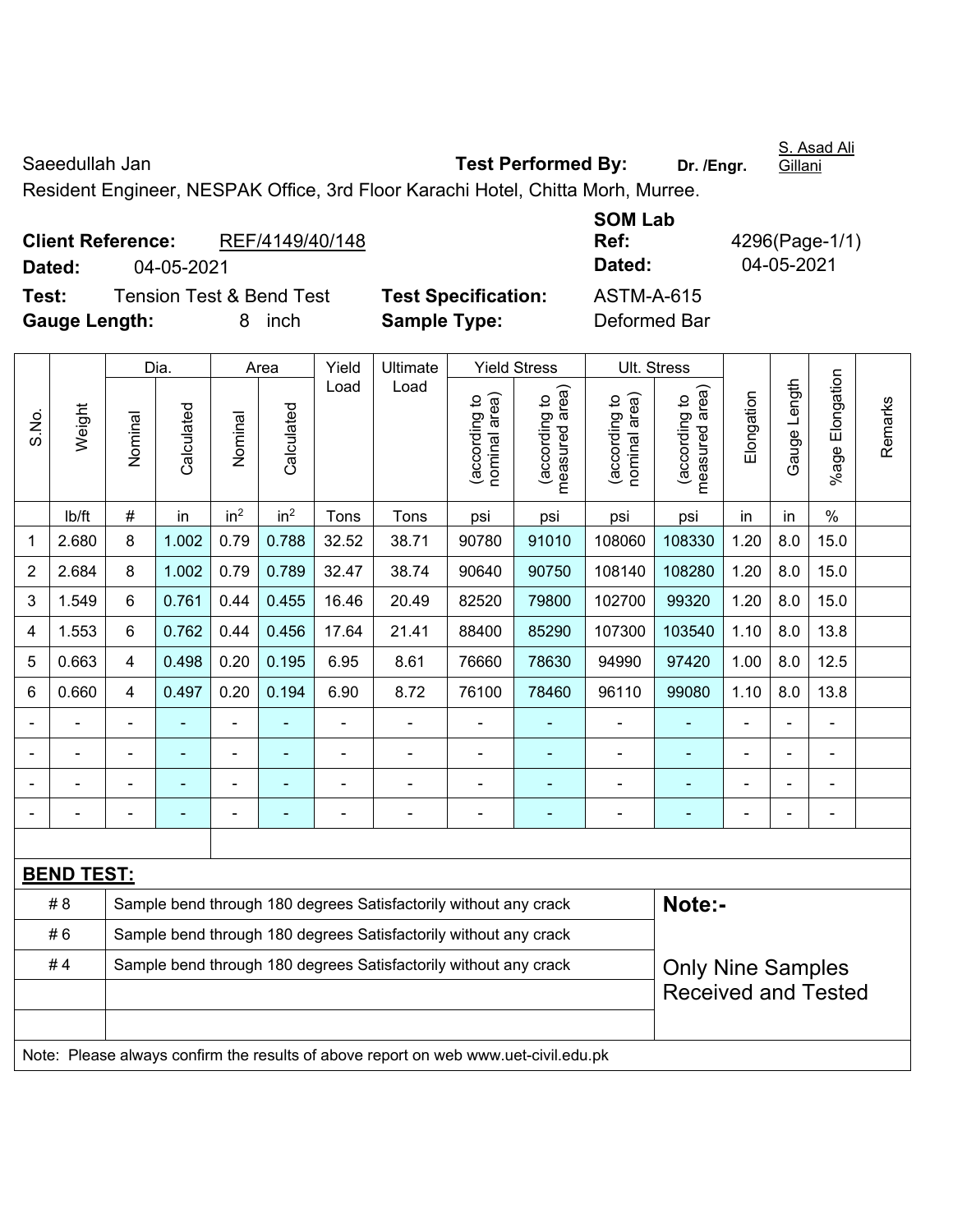Saeedullah Jan **Test Performed By:** Dr. /Engr. Gillani

Resident Engineer, NESPAK Office, 3rd Floor Karachi Hotel, Chitta Morh, Murree.

| <b>Client Reference:</b><br>Dated: | 04-05-2021 | REF/4149/40/148                     |                            | <b>SOM Lab</b><br>Ref:<br>Dated: | 4296(Page-1/1)<br>04-05-2021 |
|------------------------------------|------------|-------------------------------------|----------------------------|----------------------------------|------------------------------|
| Test:                              |            | <b>Tension Test &amp; Bend Test</b> | <b>Test Specification:</b> | ASTM-A-615                       |                              |
| <b>Gauge Length:</b>               |            | <i>inch</i><br>8                    | <b>Sample Type:</b>        | Deformed Bar                     |                              |

|                |                                                                                     |                | Dia.                                                             |                              | Area            |                | Ultimate                                                         | <b>Yield Stress</b>           |                                             | Ult. Stress                    |                                 |                          |              |                      |         |  |
|----------------|-------------------------------------------------------------------------------------|----------------|------------------------------------------------------------------|------------------------------|-----------------|----------------|------------------------------------------------------------------|-------------------------------|---------------------------------------------|--------------------------------|---------------------------------|--------------------------|--------------|----------------------|---------|--|
| S.No.          | Weight                                                                              | Nominal        | Calculated                                                       | Nominal                      | Calculated      | Load           | Load                                                             | nominal area)<br>according to | (according to<br>neasured area)<br>measured | nominal area)<br>(according to | measured area)<br>(according to | Elongation               | Gauge Length | Elongation<br>%age l | Remarks |  |
|                | lb/ft                                                                               | $\#$           | in                                                               | in <sup>2</sup>              | in <sup>2</sup> | Tons           | Tons                                                             | psi                           | psi                                         | psi                            | psi                             | in                       | in           | $\frac{0}{0}$        |         |  |
| 1              | 2.680                                                                               | 8              | 1.002                                                            | 0.79                         | 0.788           | 32.52          | 38.71                                                            | 90780                         | 91010                                       | 108060                         | 108330                          | 1.20                     | 8.0          | 15.0                 |         |  |
| $\overline{2}$ | 2.684                                                                               | 8              | 1.002                                                            | 0.79                         | 0.789           | 32.47          | 38.74                                                            | 90640                         | 90750                                       | 108140                         | 108280                          | 1.20                     | 8.0          | 15.0                 |         |  |
| 3              | 1.549                                                                               | 6              | 0.761                                                            | 0.44                         | 0.455           | 16.46          | 20.49                                                            | 82520                         | 79800                                       | 102700                         | 99320                           | 1.20                     | 8.0          | 15.0                 |         |  |
| 4              | 1.553                                                                               | 6              | 0.762                                                            | 0.44                         | 0.456           | 17.64          | 21.41                                                            | 88400                         | 85290                                       | 107300                         | 103540                          | 1.10                     | 8.0          | 13.8                 |         |  |
| 5              | 0.663                                                                               | $\overline{4}$ | 0.498                                                            | 0.20                         | 0.195           | 6.95           | 8.61                                                             | 76660                         | 78630                                       | 94990                          | 97420                           | 1.00                     | 8.0          | 12.5                 |         |  |
| 6              | 0.660                                                                               | $\overline{4}$ | 0.497                                                            | 0.20                         | 0.194           | 6.90           | 8.72                                                             | 76100                         | 78460                                       | 96110                          | 99080                           | 1.10                     | 8.0          | 13.8                 |         |  |
|                |                                                                                     | $\blacksquare$ | $\blacksquare$                                                   | $\qquad \qquad \blacksquare$ |                 | $\blacksquare$ | $\blacksquare$                                                   |                               | $\overline{\phantom{a}}$                    | $\blacksquare$                 | ÷                               | $\blacksquare$           |              | $\blacksquare$       |         |  |
|                |                                                                                     |                | $\blacksquare$                                                   | -                            | ÷               | $\overline{a}$ | ÷,                                                               |                               | $\overline{\phantom{a}}$                    | $\blacksquare$                 | ÷                               |                          |              | ÷,                   |         |  |
|                |                                                                                     |                |                                                                  | $\overline{a}$               |                 |                |                                                                  |                               |                                             |                                | ۰                               |                          |              | $\overline{a}$       |         |  |
|                |                                                                                     |                |                                                                  | ä,                           |                 | $\blacksquare$ | $\blacksquare$                                                   |                               |                                             | ٠                              | $\blacksquare$                  | $\blacksquare$           |              | $\blacksquare$       |         |  |
|                |                                                                                     |                |                                                                  |                              |                 |                |                                                                  |                               |                                             |                                |                                 |                          |              |                      |         |  |
|                | <b>BEND TEST:</b>                                                                   |                |                                                                  |                              |                 |                |                                                                  |                               |                                             |                                |                                 |                          |              |                      |         |  |
|                | #8                                                                                  |                |                                                                  |                              |                 |                | Sample bend through 180 degrees Satisfactorily without any crack |                               |                                             |                                | Note:-                          |                          |              |                      |         |  |
|                | #6                                                                                  |                |                                                                  |                              |                 |                | Sample bend through 180 degrees Satisfactorily without any crack |                               |                                             |                                |                                 |                          |              |                      |         |  |
|                | #4                                                                                  |                | Sample bend through 180 degrees Satisfactorily without any crack |                              |                 |                |                                                                  |                               |                                             |                                |                                 | <b>Only Nine Samples</b> |              |                      |         |  |
|                |                                                                                     |                |                                                                  |                              |                 |                |                                                                  |                               |                                             |                                | <b>Received and Tested</b>      |                          |              |                      |         |  |
|                |                                                                                     |                |                                                                  |                              |                 |                |                                                                  |                               |                                             |                                |                                 |                          |              |                      |         |  |
|                | Note: Please always confirm the results of above report on web www.uet-civil.edu.pk |                |                                                                  |                              |                 |                |                                                                  |                               |                                             |                                |                                 |                          |              |                      |         |  |

S. Asad Ali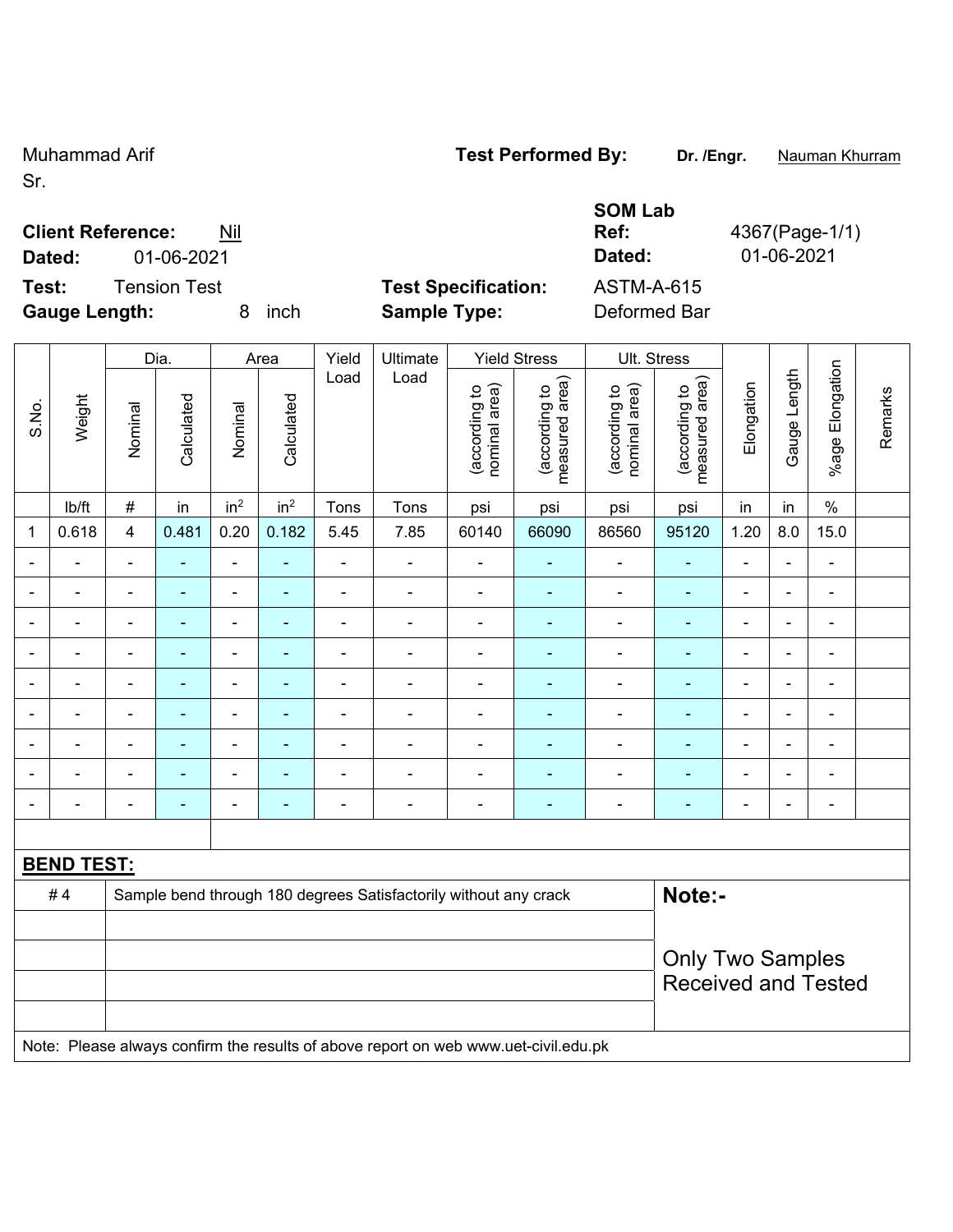Sr.

#### **Client Reference:** Nil

**Dated:** 01-06-2021 **Dated:** 01-06-2021

|  | <b>SOM Lab</b> |  |
|--|----------------|--|

**Ref:** 4367(Page-1/1)

**Test:** Tension Test **Test Specification:** ASTM-A-615 **Gauge Length:** 8 inch **Sample Type:** Deformed Bar Dia. | Area | Yield | Ultimate | Yield Stress | Ult. Stress Load Load  $\overline{\mathbb{R}}$  o  $\circ \widehat{\mathbb{R}}$  $\circ$   $\widehat{\pi}$  $\circ$   $\widehat{\pi}$  $\tilde{a}$ 

|              |                   | Dia.                     |                | Area                         |                 | Yield          | Ultimate                                                                            | Yield Stress                   |                                 | UII. Stress                    |                                 |                |                |                              |         |  |
|--------------|-------------------|--------------------------|----------------|------------------------------|-----------------|----------------|-------------------------------------------------------------------------------------|--------------------------------|---------------------------------|--------------------------------|---------------------------------|----------------|----------------|------------------------------|---------|--|
| S.No.        | Weight            | Nominal                  | Calculated     | Nominal                      | Calculated      | Load           | Load                                                                                | (according to<br>nominal area) | (according to<br>measured area) | (according to<br>nominal area) | measured area)<br>(according to | Elongation     | Gauge Length   | %age Elongation              | Remarks |  |
|              | lb/ft             | $\#$                     | in             | in <sup>2</sup>              | in <sup>2</sup> | Tons           | Tons                                                                                | psi                            | psi                             | psi                            | psi                             | in             | in             | $\%$                         |         |  |
| $\mathbf{1}$ | 0.618             | 4                        | 0.481          | 0.20                         | 0.182           | 5.45           | 7.85                                                                                | 60140                          | 66090                           | 86560                          | 95120                           | 1.20           | 8.0            | 15.0                         |         |  |
|              |                   | $\blacksquare$           |                | $\blacksquare$               | ٠               |                |                                                                                     | $\blacksquare$                 |                                 | $\blacksquare$                 | $\blacksquare$                  |                | ÷              | $\blacksquare$               |         |  |
|              |                   | ۰                        | $\blacksquare$ | $\blacksquare$               | $\blacksquare$  | $\blacksquare$ | $\blacksquare$                                                                      | $\blacksquare$                 | ÷                               | ÷                              | $\blacksquare$                  | $\blacksquare$ | ÷              | $\overline{\phantom{a}}$     |         |  |
|              |                   | $\blacksquare$           | $\blacksquare$ | $\qquad \qquad \blacksquare$ | $\blacksquare$  | $\blacksquare$ | $\blacksquare$                                                                      | $\blacksquare$                 | $\blacksquare$                  | $\blacksquare$                 | $\blacksquare$                  | ä,             | $\blacksquare$ | $\qquad \qquad \blacksquare$ |         |  |
|              |                   | $\blacksquare$           | ◆              | ÷,                           | ۰               |                | $\blacksquare$                                                                      | $\blacksquare$                 | ۰                               | ÷                              | $\blacksquare$                  | ä,             | $\frac{1}{2}$  | $\qquad \qquad \blacksquare$ |         |  |
|              |                   | ä,                       | ÷,             | $\blacksquare$               | ۳               |                |                                                                                     | $\overline{\phantom{0}}$       | ۰                               | $\blacksquare$                 | $\blacksquare$                  | Ē,             | ÷              | $\blacksquare$               |         |  |
|              |                   | $\blacksquare$           | ۰              | ÷                            | ۳               |                |                                                                                     | $\blacksquare$                 |                                 | $\blacksquare$                 | ٠                               | ÷              | ÷              | $\blacksquare$               |         |  |
|              |                   | $\blacksquare$           | ÷,             | $\blacksquare$               | $\blacksquare$  |                | $\blacksquare$                                                                      | $\blacksquare$                 | ۰                               | ÷                              | $\blacksquare$                  | ä,             | $\frac{1}{2}$  | $\qquad \qquad \blacksquare$ |         |  |
|              | $\blacksquare$    | $\overline{\phantom{a}}$ | $\blacksquare$ | $\qquad \qquad \blacksquare$ | $\blacksquare$  | $\blacksquare$ | $\blacksquare$                                                                      | $\blacksquare$                 | $\blacksquare$                  | ÷                              | $\blacksquare$                  | ÷              | $\frac{1}{2}$  | $\qquad \qquad \blacksquare$ |         |  |
|              |                   | $\blacksquare$           | $\blacksquare$ | -                            | $\blacksquare$  | $\blacksquare$ | $\blacksquare$                                                                      | $\blacksquare$                 | $\blacksquare$                  | ÷                              | $\blacksquare$                  | ä,             | $\frac{1}{2}$  | $\qquad \qquad \blacksquare$ |         |  |
|              |                   |                          |                |                              |                 |                |                                                                                     |                                |                                 |                                |                                 |                |                |                              |         |  |
|              | <b>BEND TEST:</b> |                          |                |                              |                 |                |                                                                                     |                                |                                 |                                |                                 |                |                |                              |         |  |
|              | #4                |                          |                |                              |                 |                | Sample bend through 180 degrees Satisfactorily without any crack                    |                                |                                 |                                | Note:-                          |                |                |                              |         |  |
|              |                   |                          |                |                              |                 |                |                                                                                     |                                |                                 |                                |                                 |                |                |                              |         |  |
|              |                   | <b>Only Two Samples</b>  |                |                              |                 |                |                                                                                     |                                |                                 |                                |                                 |                |                |                              |         |  |
|              |                   |                          |                |                              |                 |                |                                                                                     |                                |                                 |                                | <b>Received and Tested</b>      |                |                |                              |         |  |
|              |                   |                          |                |                              |                 |                | Note: Please always confirm the results of above report on web www.uet-civil.edu.pk |                                |                                 |                                |                                 |                |                |                              |         |  |

## Muhammad Arif **Test Performed By: Dr. /Engr.** Nauman Khurram